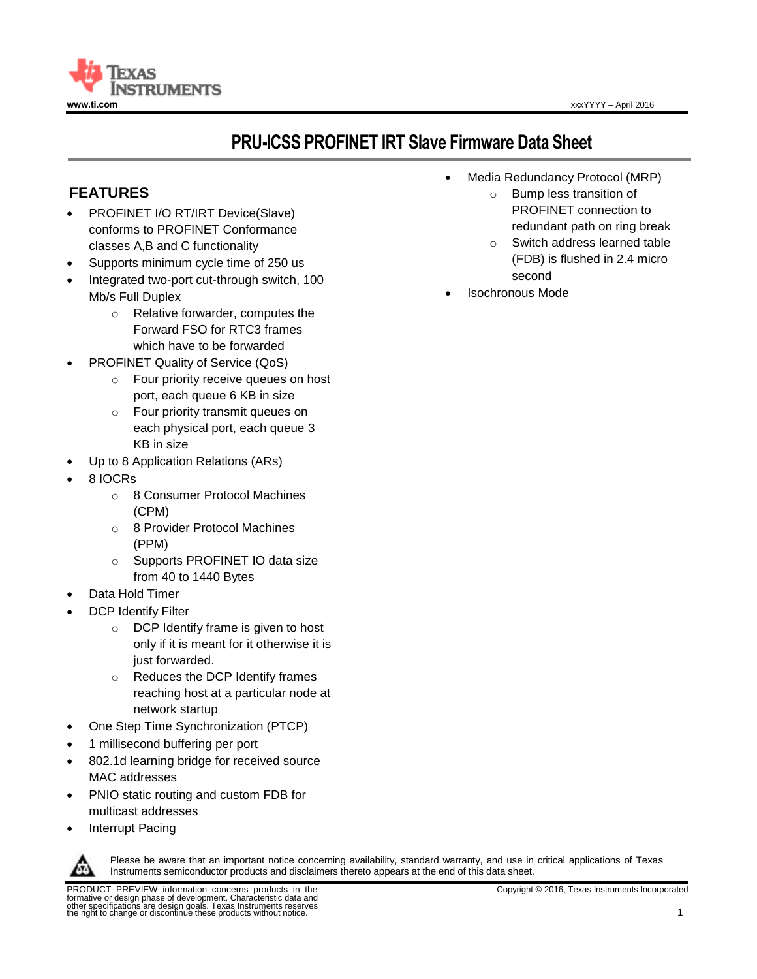

# **PRU-ICSS PROFINET IRT Slave Firmware Data Sheet**

# **FEATURES**

- PROFINET I/O RT/IRT Device(Slave) conforms to PROFINET Conformance classes A,B and C functionality
- Supports minimum cycle time of 250 us
- Integrated two-port cut-through switch, 100 Mb/s Full Duplex
	- o Relative forwarder, computes the Forward FSO for RTC3 frames which have to be forwarded
- PROFINET Quality of Service (QoS)
	- o Four priority receive queues on host port, each queue 6 KB in size
	- o Four priority transmit queues on each physical port, each queue 3 KB in size
- Up to 8 Application Relations (ARs)
- 8 IOCRs
	- o 8 Consumer Protocol Machines (CPM)
	- o 8 Provider Protocol Machines (PPM)
	- o Supports PROFINET IO data size from 40 to 1440 Bytes
- Data Hold Timer
- DCP Identify Filter
	- o DCP Identify frame is given to host only if it is meant for it otherwise it is just forwarded.
	- o Reduces the DCP Identify frames reaching host at a particular node at network startup
- One Step Time Synchronization (PTCP)
- 1 millisecond buffering per port
- 802.1d learning bridge for received source MAC addresses
- PNIO static routing and custom FDB for multicast addresses
- Interrupt Pacing



Please be aware that an important notice concerning availability, standard warranty, and use in critical applications of Texas Instruments semiconductor products and disclaimers thereto appears at the end of this data sheet.

- Media Redundancy Protocol (MRP)
	- o Bump less transition of PROFINET connection to redundant path on ring break
	- o Switch address learned table (FDB) is flushed in 2.4 micro second
- Isochronous Mode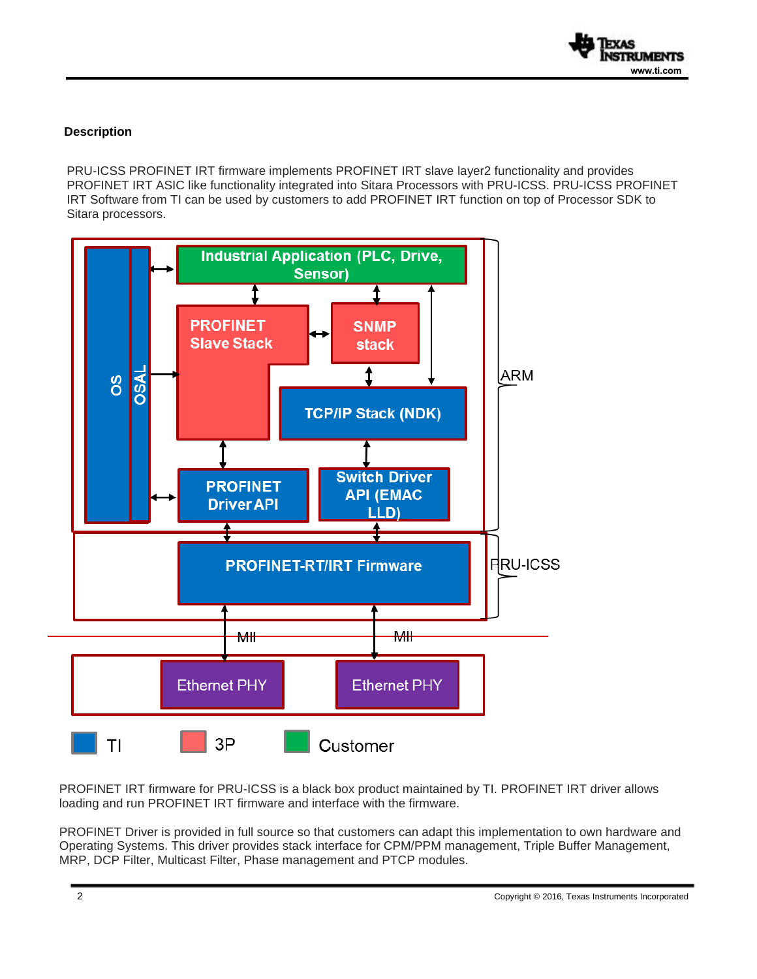

# **Description**

PRU-ICSS PROFINET IRT firmware implements PROFINET IRT slave layer2 functionality and provides PROFINET IRT ASIC like functionality integrated into Sitara Processors with PRU-ICSS. PRU-ICSS PROFINET IRT Software from TI can be used by customers to add PROFINET IRT function on top of Processor SDK to Sitara processors.



PROFINET IRT firmware for PRU-ICSS is a black box product maintained by TI. PROFINET IRT driver allows loading and run PROFINET IRT firmware and interface with the firmware.

PROFINET Driver is provided in full source so that customers can adapt this implementation to own hardware and Operating Systems. This driver provides stack interface for CPM/PPM management, Triple Buffer Management, MRP, DCP Filter, Multicast Filter, Phase management and PTCP modules.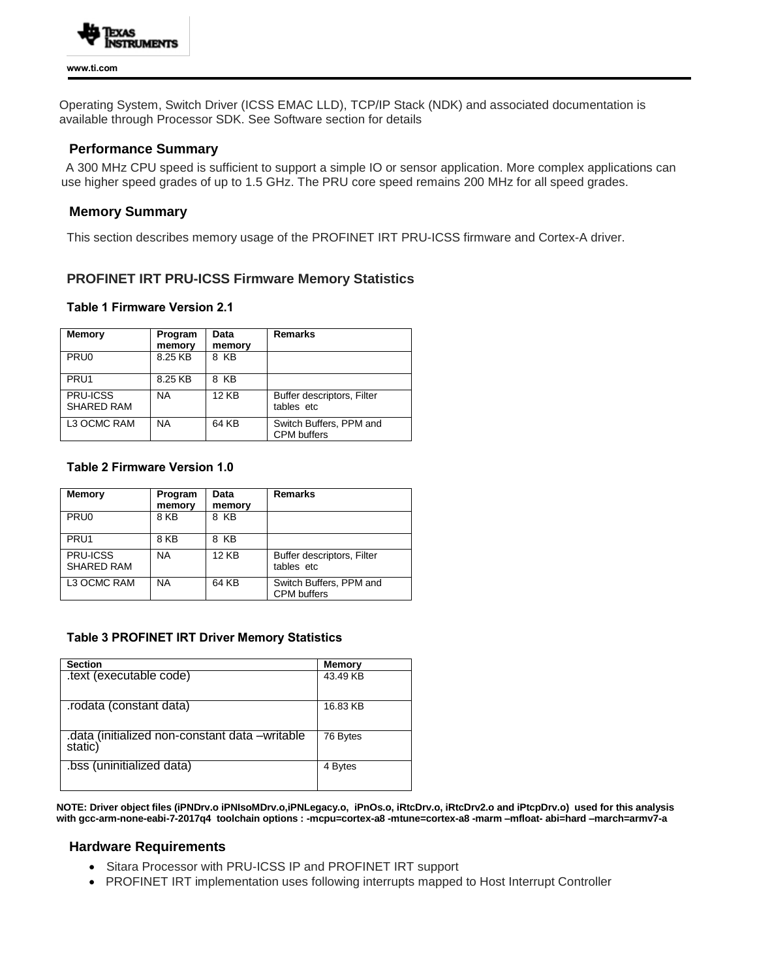

Operating System, Switch Driver (ICSS EMAC LLD), TCP/IP Stack (NDK) and associated documentation is available through Processor SDK. See Software section for details

## **Performance Summary**

 A 300 MHz CPU speed is sufficient to support a simple IO or sensor application. More complex applications can use higher speed grades of up to 1.5 GHz. The PRU core speed remains 200 MHz for all speed grades.

## **Memory Summary**

This section describes memory usage of the PROFINET IRT PRU-ICSS firmware and Cortex-A driver.

# **PROFINET IRT PRU-ICSS Firmware Memory Statistics**

#### **Table 1 Firmware Version 2.1**

| <b>Memory</b>                 | Program<br>memory | Data<br>memory | <b>Remarks</b>                                |
|-------------------------------|-------------------|----------------|-----------------------------------------------|
| PRU <sub>0</sub>              | 8.25 KB           | 8 KB           |                                               |
| PRU <sub>1</sub>              | 8.25 KB           | 8 KB           |                                               |
| PRU-ICSS<br><b>SHARED RAM</b> | NA                | <b>12 KB</b>   | Buffer descriptors, Filter<br>tables etc      |
| L3 OCMC RAM                   | <b>NA</b>         | 64 KB          | Switch Buffers, PPM and<br><b>CPM</b> buffers |

#### **Table 2 Firmware Version 1.0**

| <b>Memory</b>                 | Program<br>memory | Data<br>memory | Remarks                                       |
|-------------------------------|-------------------|----------------|-----------------------------------------------|
| PRU <sub>0</sub>              | 8 KB              | 8 KB           |                                               |
| PRU <sub>1</sub>              | 8 KB              | 8 KB           |                                               |
| PRU-ICSS<br><b>SHARED RAM</b> | <b>NA</b>         | <b>12 KB</b>   | Buffer descriptors, Filter<br>tables etc      |
| L3 OCMC RAM                   | <b>NA</b>         | 64 KB          | Switch Buffers, PPM and<br><b>CPM</b> buffers |

#### **Table 3 PROFINET IRT Driver Memory Statistics**

| <b>Section</b>                                            | <b>Memory</b> |
|-----------------------------------------------------------|---------------|
| .text (executable code)                                   | 43.49 KB      |
| rodata (constant data).                                   | 16.83 KB      |
| .data (initialized non-constant data -writable<br>static) | 76 Bytes      |
| .bss (uninitialized data)                                 | 4 Bytes       |

**NOTE: Driver object files (iPNDrv.o iPNIsoMDrv.o,iPNLegacy.o, iPnOs.o, iRtcDrv.o, iRtcDrv2.o and iPtcpDrv.o) used for this analysis with gcc-arm-none-eabi-7-2017q4 toolchain options : -mcpu=cortex-a8 -mtune=cortex-a8 -marm –mfloat- abi=hard –march=armv7-a**

#### **Hardware Requirements**

- Sitara Processor with PRU-ICSS IP and PROFINET IRT support
- PROFINET IRT implementation uses following interrupts mapped to Host Interrupt Controller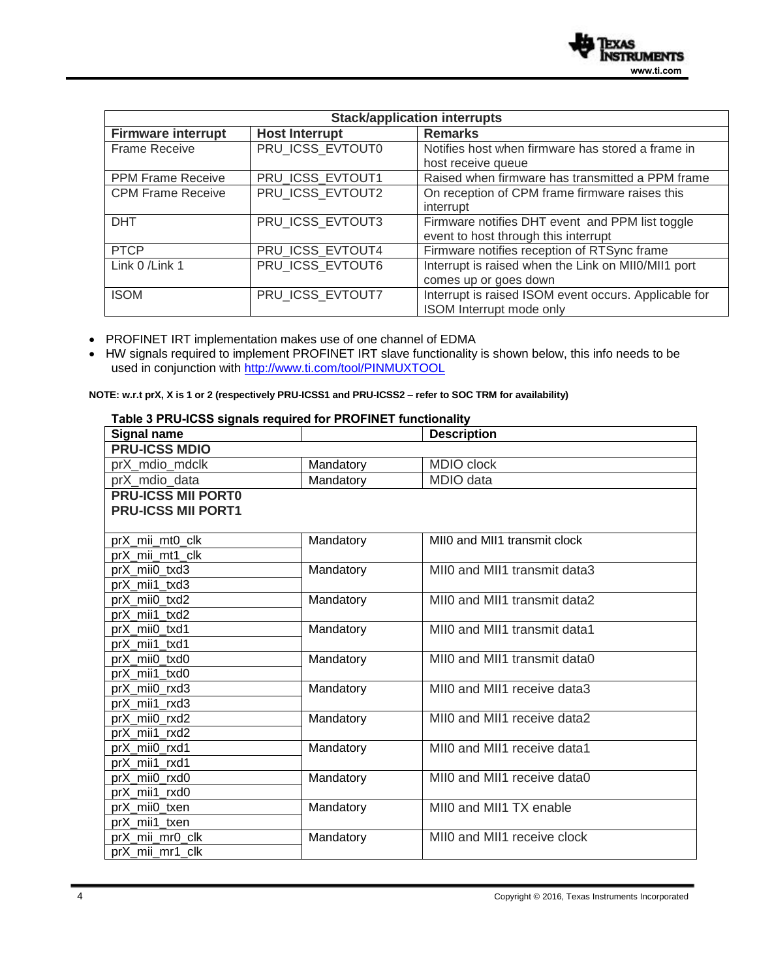

| <b>Stack/application interrupts</b> |                       |                                                       |  |
|-------------------------------------|-----------------------|-------------------------------------------------------|--|
| <b>Firmware interrupt</b>           | <b>Host Interrupt</b> | <b>Remarks</b>                                        |  |
| Frame Receive                       | PRU ICSS EVTOUT0      | Notifies host when firmware has stored a frame in     |  |
|                                     |                       | host receive queue                                    |  |
| <b>PPM Frame Receive</b>            | PRU ICSS EVTOUT1      | Raised when firmware has transmitted a PPM frame      |  |
| <b>CPM Frame Receive</b>            | PRU ICSS EVTOUT2      | On reception of CPM frame firmware raises this        |  |
|                                     |                       | interrupt                                             |  |
| <b>DHT</b>                          | PRU_ICSS_EVTOUT3      | Firmware notifies DHT event and PPM list toggle       |  |
|                                     |                       | event to host through this interrupt                  |  |
| <b>PTCP</b>                         | PRU ICSS EVTOUT4      | Firmware notifies reception of RTSync frame           |  |
| Link 0 / Link 1                     | PRU ICSS EVTOUT6      | Interrupt is raised when the Link on MII0/MII1 port   |  |
|                                     |                       | comes up or goes down                                 |  |
| <b>ISOM</b>                         | PRU_ICSS_EVTOUT7      | Interrupt is raised ISOM event occurs. Applicable for |  |
|                                     |                       | ISOM Interrupt mode only                              |  |

PROFINET IRT implementation makes use of one channel of EDMA

 HW signals required to implement PROFINET IRT slave functionality is shown below, this info needs to be used in conjunction with<http://www.ti.com/tool/PINMUXTOOL>

**NOTE: w.r.t prX, X is 1 or 2 (respectively PRU-ICSS1 and PRU-ICSS2 – refer to SOC TRM for availability)**

| <b>Signal name</b>        |           | <b>Description</b>           |
|---------------------------|-----------|------------------------------|
| <b>PRU-ICSS MDIO</b>      |           |                              |
| prX_mdio_mdclk            | Mandatory | MDIO clock                   |
| prX_mdio_data             | Mandatory | MDIO data                    |
| <b>PRU-ICSS MII PORTO</b> |           |                              |
| <b>PRU-ICSS MII PORT1</b> |           |                              |
|                           |           |                              |
| prX_mii_mt0_clk           | Mandatory | MII0 and MII1 transmit clock |
| prX mii mt1 clk           |           |                              |
| prX_mii0_txd3             | Mandatory | MII0 and MII1 transmit data3 |
| prX mii1 txd3             |           |                              |
| prX_mii0_txd2             | Mandatory | MII0 and MII1 transmit data2 |
| prX_mii1_txd2             |           |                              |
| prX mii0 txd1             | Mandatory | MIIO and MII1 transmit data1 |
| prX mii1 txd1             |           |                              |
| prX mii0 txd0             | Mandatory | MIIO and MII1 transmit data0 |
| prX_mii1_txd0             |           |                              |
| prX_mii0_rxd3             | Mandatory | MII0 and MII1 receive data3  |
| prX_mii1_rxd3             |           |                              |
| prX_mii0_rxd2             | Mandatory | MII0 and MII1 receive data2  |
| prX_mii1_rxd2             |           |                              |
| prX_mii0_rxd1             | Mandatory | MII0 and MII1 receive data1  |
| prX mii1 rxd1             |           |                              |
| prX mii0 rxd0             | Mandatory | MII0 and MII1 receive data0  |
| prX mii1 rxd0             |           |                              |
| prX_mii0_txen             | Mandatory | MII0 and MII1 TX enable      |
| prX mii1 txen             |           |                              |
| prX_mii_mr0_clk           | Mandatory | MII0 and MII1 receive clock  |
| prX_mii_mr1_clk           |           |                              |

# **Table 3 PRU-ICSS signals required for PROFINET functionality**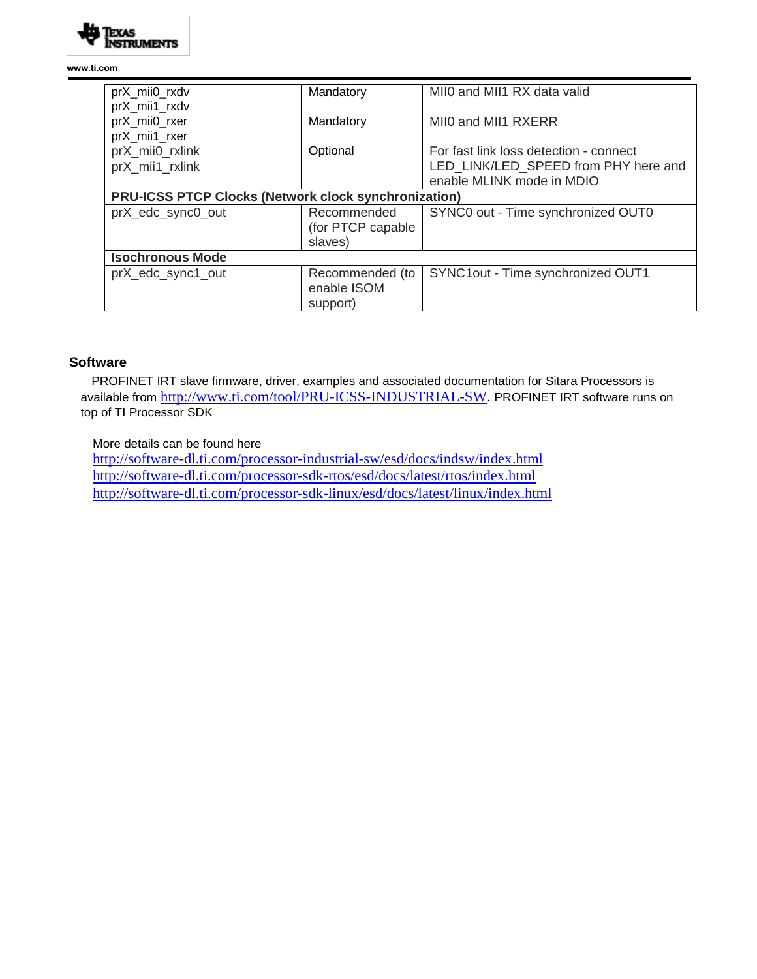

**www.ti.com** 

| prX_mii0_rxdv                                        | Mandatory          | MII0 and MII1 RX data valid            |  |
|------------------------------------------------------|--------------------|----------------------------------------|--|
| prX mii1 rxdv                                        |                    |                                        |  |
| prX_mii0_rxer                                        | Mandatory          | MII0 and MII1 RXERR                    |  |
| prX_mii1_rxer                                        |                    |                                        |  |
| prX mii0 rxlink                                      | Optional           | For fast link loss detection - connect |  |
| prX_mii1_rxlink                                      |                    | LED LINK/LED SPEED from PHY here and   |  |
|                                                      |                    | enable MLINK mode in MDIO              |  |
| PRU-ICSS PTCP Clocks (Network clock synchronization) |                    |                                        |  |
| prX_edc_sync0_out                                    | Recommended        | SYNC0 out - Time synchronized OUT0     |  |
|                                                      | (for PTCP capable) |                                        |  |
|                                                      | slaves)            |                                        |  |
| <b>Isochronous Mode</b>                              |                    |                                        |  |
| prX_edc_sync1_out                                    | Recommended (to    | SYNC1out - Time synchronized OUT1      |  |
|                                                      | enable ISOM        |                                        |  |
|                                                      | support)           |                                        |  |

## **Software**

 PROFINET IRT slave firmware, driver, examples and associated documentation for Sitara Processors is available from [http://www.ti.com/tool/PRU-ICSS-INDUSTRIAL-SW.](http://www.ti.com/tool/PRU-ICSS-INDUSTRIAL-SW) PROFINET IRT software runs on top of TI Processor SDK

### More details can be found here

 <http://software-dl.ti.com/processor-industrial-sw/esd/docs/indsw/index.html> <http://software-dl.ti.com/processor-sdk-rtos/esd/docs/latest/rtos/index.html> <http://software-dl.ti.com/processor-sdk-linux/esd/docs/latest/linux/index.html>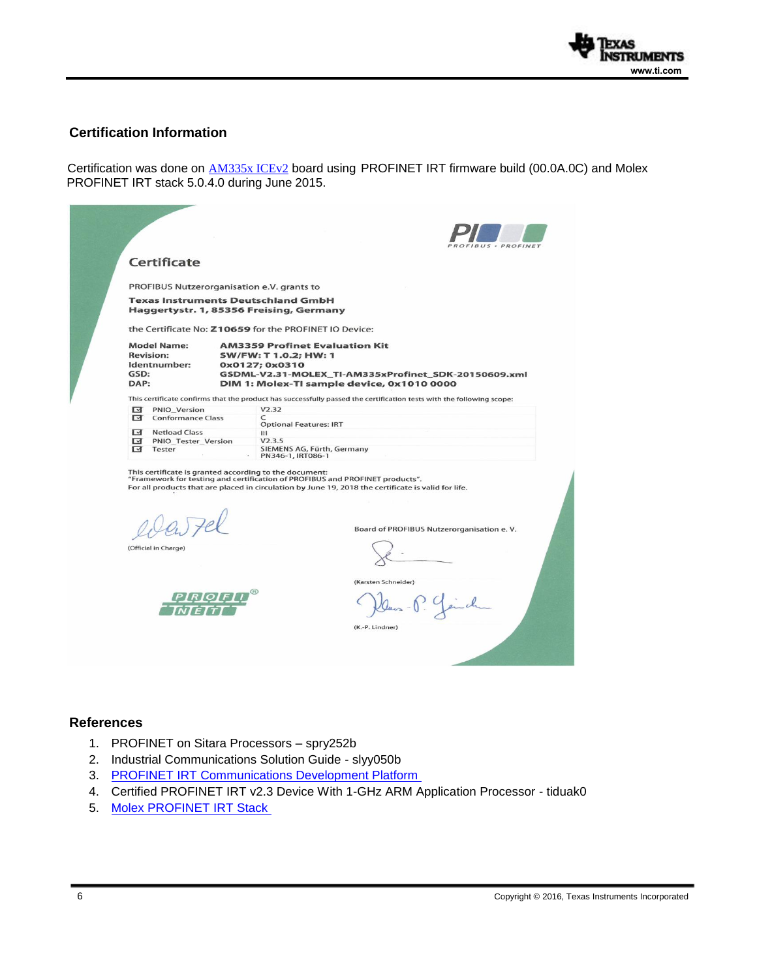

# **Certification Information**

Certification was done on **[AM335x ICEv2](http://www.ti.com/tool/tmdsice3359)** board using PROFINET IRT firmware build (00.0A.0C) and Molex PROFINET IRT stack 5.0.4.0 during June 2015.

| Certificate                                                            |                                                                                                                                                                                                                                                                                            |
|------------------------------------------------------------------------|--------------------------------------------------------------------------------------------------------------------------------------------------------------------------------------------------------------------------------------------------------------------------------------------|
|                                                                        | PROFIBUS Nutzerorganisation e.V. grants to                                                                                                                                                                                                                                                 |
|                                                                        | <b>Texas Instruments Deutschland GmbH</b><br>Haggertystr. 1, 85356 Freising, Germany                                                                                                                                                                                                       |
|                                                                        | the Certificate No: Z10659 for the PROFINET IO Device:                                                                                                                                                                                                                                     |
| <b>Model Name:</b><br><b>Revision:</b><br>Identnumber:<br>GSD:<br>DAP: | <b>AM3359 Profinet Evaluation Kit</b><br>SW/FW: T 1.0.2; HW: 1<br>0x0127; 0x0310<br>GSDML-V2.31-MOLEX TI-AM335xProfinet SDK-20150609.xml<br>DIM 1: Molex-TI sample device, 0x1010 0000                                                                                                     |
|                                                                        | This certificate confirms that the product has successfully passed the certification tests with the following scope:                                                                                                                                                                       |
| ⊺ज<br><b>PNIO Version</b><br>ज<br><b>Conformance Class</b>             | V2.32<br>C<br><b>Optional Features: IRT</b>                                                                                                                                                                                                                                                |
| <b>Netload Class</b><br>⊺ज<br>ন<br><b>PNIO Tester Version</b>          | Ш<br>V2.3.5<br>SIEMENS AG, Fürth, Germany                                                                                                                                                                                                                                                  |
| ाज<br>Tester                                                           | PN346-1, IRT086-1                                                                                                                                                                                                                                                                          |
| (Official in Charge)                                                   | This certificate is granted according to the document:<br>"Framework for testing and certification of PROFIBUS and PROFINET products".<br>For all products that are placed in circulation by June 19, 2018 the certificate is valid for life.<br>Board of PROFIBUS Nutzerorganisation e.V. |

### **References**

- 1. PROFINET on Sitara Processors spry252b
- 2. Industrial Communications Solution Guide slyy050b
- 3. PROFINET IRT [Communications Development Platform](http://www.ti.com/tool/TIDEP0029)
- 4. Certified PROFINET IRT v2.3 Device With 1-GHz ARM Application Processor tiduak0
- 5. [Molex PROFINET IRT Stack](http://www.molex.com/molex/products/family?key=profinet_solutions&channel=PRODUCTS&chanName=family&pageTitle=Introduction)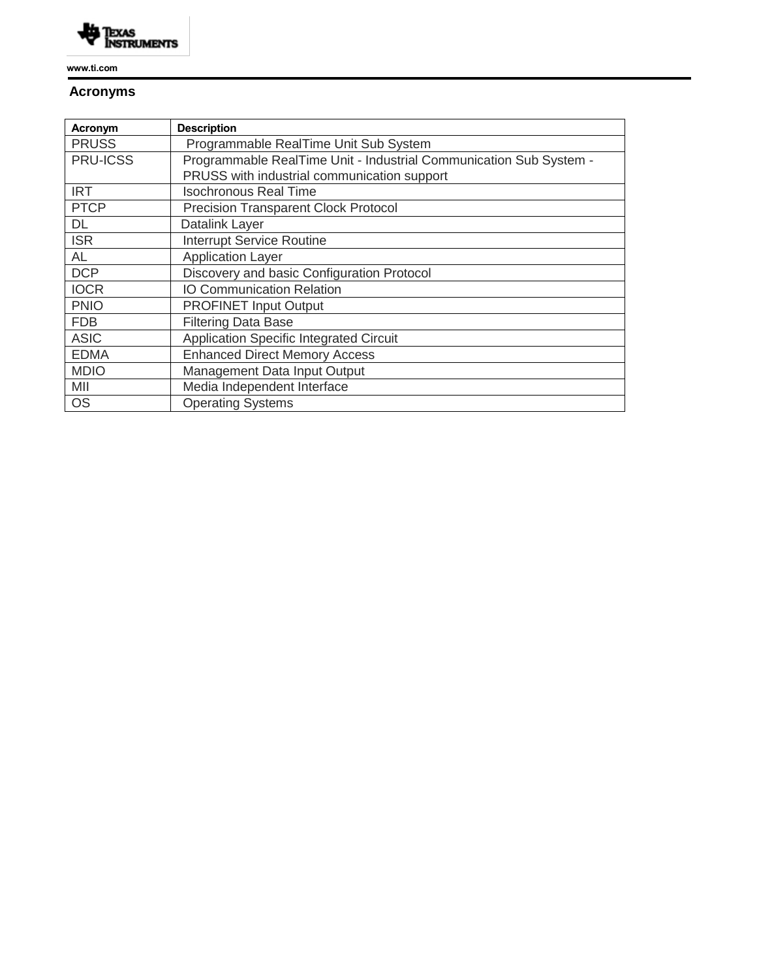

**www.ti.com** 

# **Acronyms**

| Acronym         | <b>Description</b>                                                 |
|-----------------|--------------------------------------------------------------------|
| <b>PRUSS</b>    | Programmable RealTime Unit Sub System                              |
| <b>PRU-ICSS</b> | Programmable RealTime Unit - Industrial Communication Sub System - |
|                 | PRUSS with industrial communication support                        |
| <b>IRT</b>      | <b>Isochronous Real Time</b>                                       |
| <b>PTCP</b>     | <b>Precision Transparent Clock Protocol</b>                        |
| DL              | Datalink Layer                                                     |
| <b>ISR</b>      | <b>Interrupt Service Routine</b>                                   |
| <b>AL</b>       | <b>Application Layer</b>                                           |
| <b>DCP</b>      | Discovery and basic Configuration Protocol                         |
| <b>IOCR</b>     | <b>IO Communication Relation</b>                                   |
| <b>PNIO</b>     | <b>PROFINET Input Output</b>                                       |
| <b>FDB</b>      | <b>Filtering Data Base</b>                                         |
| <b>ASIC</b>     | <b>Application Specific Integrated Circuit</b>                     |
| <b>EDMA</b>     | <b>Enhanced Direct Memory Access</b>                               |
| <b>MDIO</b>     | Management Data Input Output                                       |
| MII             | Media Independent Interface                                        |
| <b>OS</b>       | <b>Operating Systems</b>                                           |